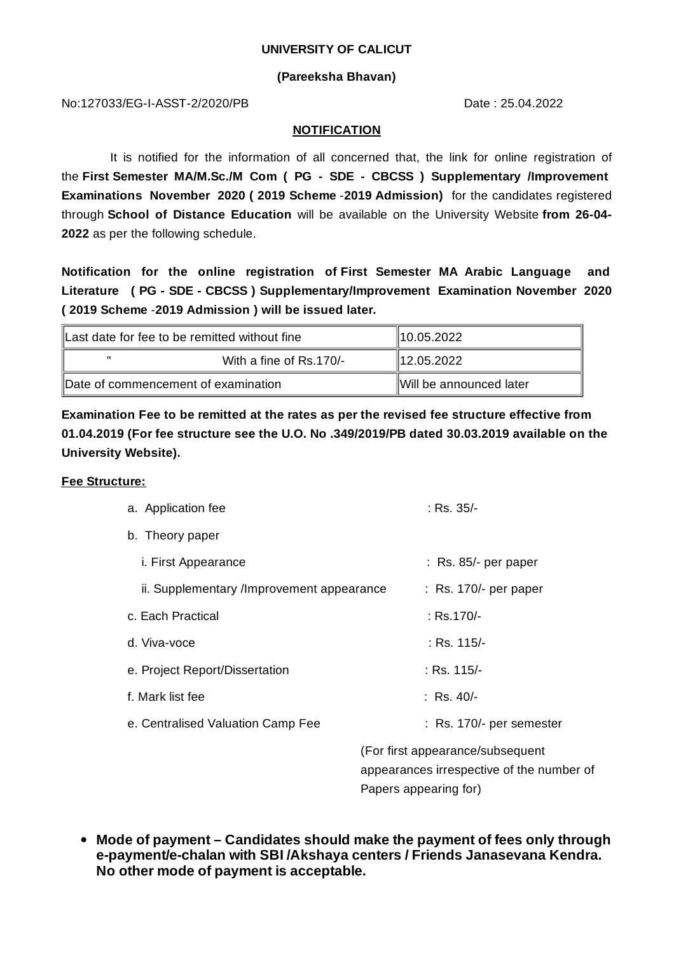#### **UNIVERSITY OF CALICUT**

### **(Pareeksha Bhavan)**

No:127033/EG-I-ASST-2/2020/PB Date : 25.04.2022

#### **NOTIFICATION**

It is notified for the information of all concerned that, the link for online registration of the **First Semester MA/M.Sc./M Com ( PG - SDE - CBCSS ) Supplementary /Improvement Examinations November 2020 ( 2019 Scheme** -**2019 Admission)** for the candidates registered through **School of Distance Education** will be available on the University Website **from 26-04- 2022** as per the following schedule.

**Notification for the online registration of First Semester MA Arabic Language and Literature ( PG - SDE - CBCSS ) Supplementary/Improvement Examination November 2020 ( 2019 Scheme** -**2019 Admission ) will be issued later.**

| Last date for fee to be remitted without fine |                         | $\parallel$ 10.05.2022  |
|-----------------------------------------------|-------------------------|-------------------------|
| $\mathbf{u}$                                  | With a fine of Rs.170/- | 12.05.2022              |
| Date of commencement of examination           |                         | Will be announced later |

**Examination Fee to be remitted at the rates as per the revised fee structure effective from 01.04.2019 (For fee structure see the U.O. No .349/2019/PB dated 30.03.2019 available on the University Website).**

#### **Fee Structure:**

| a. Application fee                        | : Rs. 35/-                       |  |
|-------------------------------------------|----------------------------------|--|
| b. Theory paper                           |                                  |  |
| <i>i.</i> First Appearance                | $:$ Rs. 85/- per paper           |  |
| ii. Supplementary /Improvement appearance | $:$ Rs. 170/- per paper          |  |
| c. Each Practical                         | : Rs.170/-                       |  |
| d. Viva-voce                              | : Rs. 115/-                      |  |
| e. Project Report/Dissertation            | : Rs. 115/-                      |  |
| f. Mark list fee                          | : Rs. 40/-                       |  |
| e. Centralised Valuation Camp Fee         | : Rs. 170/- per semester         |  |
|                                           | (For first appearance/subsequent |  |

appearances irrespective of the number of Papers appearing for)

**Mode of payment – Candidates should make the payment of fees only through e-payment/e-chalan with SBI /Akshaya centers / Friends Janasevana Kendra. No other mode of payment is acceptable.**